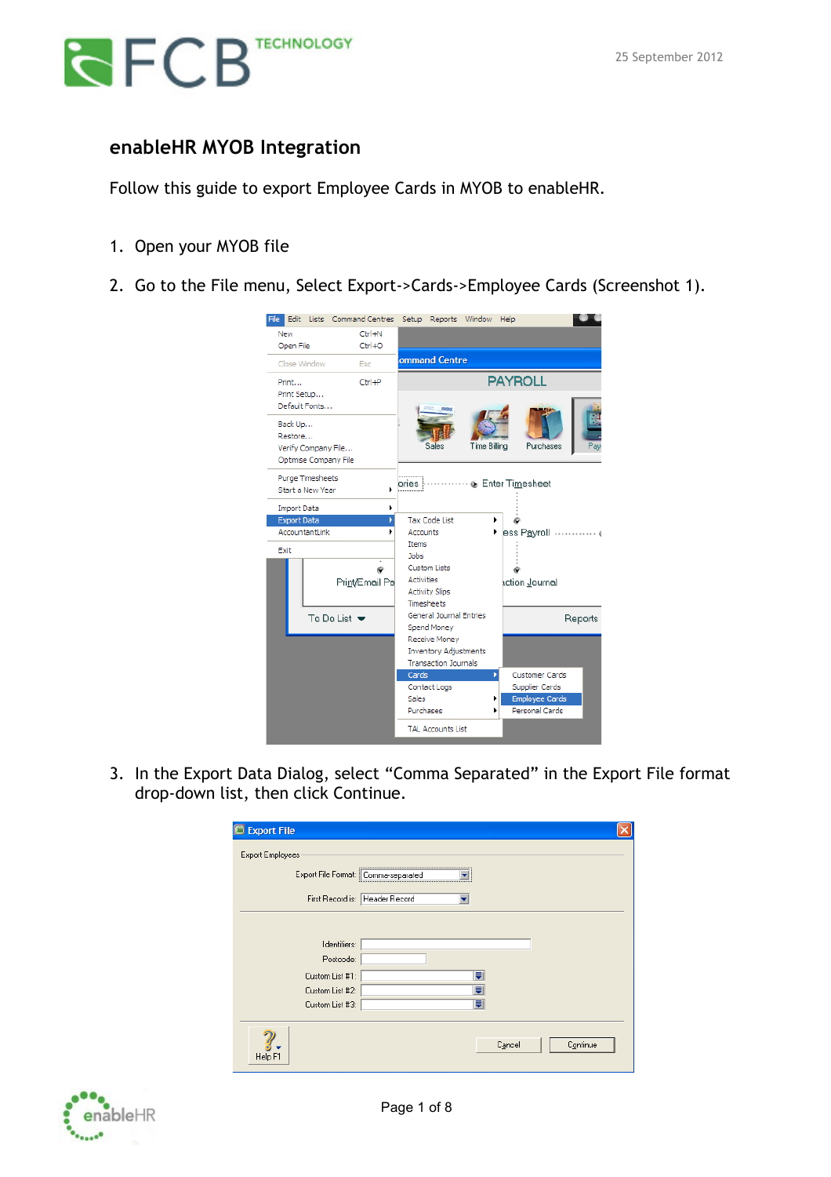

### **enableHR MYOB Integration**

Follow this guide to export Employee Cards in MYOB to enableHR.

- 1. Open your MYOB file
- 2. Go to the File menu, Select Export->Cards->Employee Cards (Screenshot 1).

| Edit Lists Command Centres<br>File                                 | Setup Reports Window<br>Help                                          |
|--------------------------------------------------------------------|-----------------------------------------------------------------------|
| $Ctrl + N$<br><b>New</b>                                           |                                                                       |
| Open File<br>$Ctrl + O$                                            |                                                                       |
| Close Window<br>Esc                                                | ommand Centre                                                         |
| $Ctr +P$<br>Print                                                  | <b>PAYROLL</b>                                                        |
| Print Setup<br>Default Fonts                                       |                                                                       |
| Back Up<br>Restore<br>Verify Company File<br>Optimise Company File | Time Billing<br>Purchases<br>Payr<br>Sales                            |
| Purge Timesheets<br>Start a New Year                               | ·  to Enter Timesheet<br>ories i                                      |
| <b>Import Data</b>                                                 |                                                                       |
| <b>Export Data</b>                                                 | <b>Tax Code List</b>                                                  |
| AccountantLink<br>٠                                                | <b>Accounts</b><br>ess Payroll<br>- 6                                 |
| Exit                                                               | <b>Items</b><br><b>Jobs</b>                                           |
|                                                                    | Custom Lists                                                          |
|                                                                    | <b>Activities</b>                                                     |
| Print/Email Pa                                                     | action Journal<br><b>Activity Slips</b>                               |
|                                                                    | <b>Timesheets</b>                                                     |
| To Do List $\blacktriangleright$                                   | General Journal Entries<br>Reports                                    |
|                                                                    | Spend Money                                                           |
|                                                                    | Receive Money                                                         |
|                                                                    | <b>Inventory Adjustments</b>                                          |
|                                                                    | <b>Transaction Journals</b>                                           |
|                                                                    | Cards<br><b>Customer Cards</b><br>Þ<br>Contact Logs<br>Supplier Cards |
|                                                                    | Sales<br><b>Employee Cards</b>                                        |
|                                                                    | Purchases<br>Personal Cards<br>١                                      |
|                                                                    | <b>TAL Accounts List</b>                                              |

3. In the Export Data Dialog, select "Comma Separated" in the Export File format drop-down list, then click Continue.

| <b>Export File</b>                  |                                |
|-------------------------------------|--------------------------------|
| Export Employees:                   |                                |
| Export File Format: Comma-separated |                                |
|                                     | First Record is: Header Record |
|                                     |                                |
| Identifiers:                        |                                |
| Postcode:                           |                                |
| Custom List #1:                     | ₹                              |
| Custom List #2:                     | ₹                              |
| Custom List #3:                     | U                              |
|                                     |                                |
| Help F1                             | Continue<br>Cancel             |

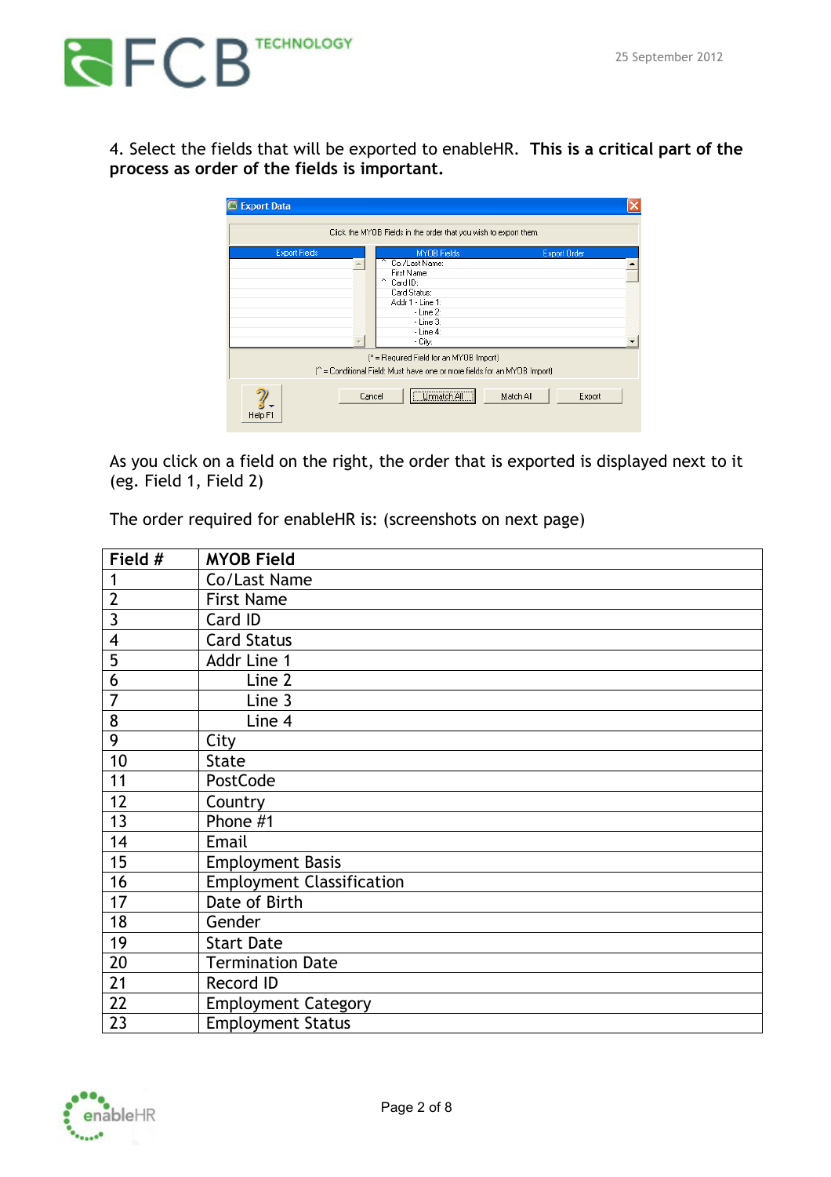

4. Select the fields that will be exported to enableHR. **This is a critical part of the process as order of the fields is important.**

| <b>Export Data</b>   |        |                                                                                                                                                            |           |                     |
|----------------------|--------|------------------------------------------------------------------------------------------------------------------------------------------------------------|-----------|---------------------|
|                      |        | Click the MYOB Fields in the order that you wish to export them.                                                                                           |           |                     |
| <b>Export Fields</b> | $\sim$ | <b>MYOB Fields</b><br>Co./Last Name:<br>First Name:<br>Card ID:<br>Card Status:<br>Addr 1 - Line 1:<br>$-Line 2$ :<br>$-Line$ 3:<br>$-Line 4$ :<br>- City: |           | <b>Export Order</b> |
| Help F1              | Cancel | [* = Required Field for an MYOB Import]<br>(^ = Conditional Field: Must have one or more fields for an MYOB Import)<br>Unmatch All                         | Match All | Export              |

As you click on a field on the right, the order that is exported is displayed next to it (eg. Field 1, Field 2)

The order required for enableHR is: (screenshots on next page)

| Field #        | <b>MYOB Field</b>                |
|----------------|----------------------------------|
| 1              | Co/Last Name                     |
| $\overline{2}$ | <b>First Name</b>                |
| 3              | Card ID                          |
| 4              | <b>Card Status</b>               |
| 5              | Addr Line 1                      |
| 6              | Line 2                           |
| $\overline{7}$ | Line 3                           |
| 8              | Line 4                           |
| 9              | City                             |
| 10             | <b>State</b>                     |
| 11             | PostCode                         |
| 12             | Country                          |
| 13             | Phone #1                         |
| 14             | Email                            |
| 15             | <b>Employment Basis</b>          |
| 16             | <b>Employment Classification</b> |
| 17             | Date of Birth                    |
| 18             | Gender                           |
| 19             | <b>Start Date</b>                |
| 20             | <b>Termination Date</b>          |
| 21             | Record ID                        |
| 22             | <b>Employment Category</b>       |
| 23             | <b>Employment Status</b>         |

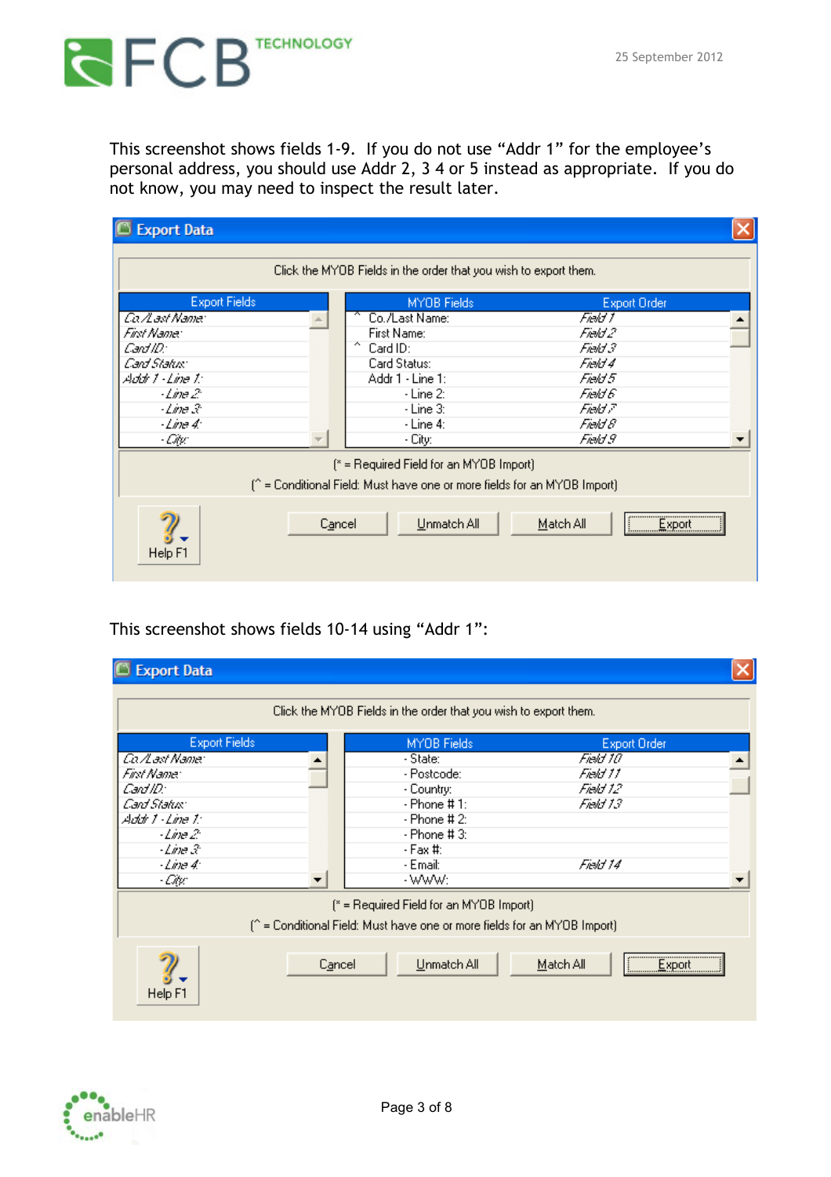## **RECES** TECHNOLOGY

This screenshot shows fields 1-9. If you do not use "Addr 1" for the employee's personal address, you should use Addr 2, 3 4 or 5 instead as appropriate. If you do not know, you may need to inspect the result later.

| <b>Export Data</b>   |        |                                                                                                                     |                     |  |
|----------------------|--------|---------------------------------------------------------------------------------------------------------------------|---------------------|--|
|                      |        | Click the MYOB Fields in the order that you wish to export them.                                                    |                     |  |
| <b>Export Fields</b> |        | MYOB Fields                                                                                                         | <b>Export Order</b> |  |
| Ca⊿ast Name:         |        | Co./Last Name:                                                                                                      | Field 1             |  |
| Fint Name:           |        | First Name:                                                                                                         | Field 2             |  |
| Card ID:             |        | $\sim$<br>Card ID:                                                                                                  | Field 3             |  |
| Card Status:         |        | Card Status:                                                                                                        | Field 4             |  |
| Addr 1 - Line 1:     |        | Addr 1 - Line 1:                                                                                                    | Field 5             |  |
| - <i>Line 2</i> :    |        | - Line 2:                                                                                                           | Field 6             |  |
| $-Line \mathcal{R}$  |        | - Line 3:                                                                                                           | Field 7             |  |
| - <i>Line 4:</i>     |        | - Line 4:                                                                                                           | Field 8             |  |
| - City:              |        | - City:                                                                                                             | Field 9             |  |
|                      |        | [* = Required Field for an MYOB Import]<br>(^ = Conditional Field: Must have one or more fields for an MYOB Import) |                     |  |
| Help F1              | Cancel | Unmatch All                                                                                                         | Export<br>Match All |  |

This screenshot shows fields 10-14 using "Addr 1":

| <b>Export Data</b>   |        |                                                                                                                                    |                              |  |
|----------------------|--------|------------------------------------------------------------------------------------------------------------------------------------|------------------------------|--|
|                      |        | Click the MYOB Fields in the order that you wish to export them.                                                                   |                              |  |
| <b>Export Fields</b> |        | MYOB Fields                                                                                                                        | <b>Export Order</b>          |  |
| Ca⊿ast Name:         |        | - State:                                                                                                                           | Field 10                     |  |
| Fint Name:           |        | - Postcode:                                                                                                                        | Field 11                     |  |
| Card ID:             |        | - Country:                                                                                                                         | Field 12                     |  |
| Card Status:         |        | - Phone # 1:                                                                                                                       | Field 13.                    |  |
| Addr 1 - Line 1:     |        | - Phone # 2:                                                                                                                       |                              |  |
| -Line 2              |        | - Phone # 3:                                                                                                                       |                              |  |
| - <i>Line</i> 3      |        | - Fax #:                                                                                                                           |                              |  |
| $-Line 4:$           |        | - Email:                                                                                                                           | Field 14                     |  |
| - Citus              |        | - www:                                                                                                                             |                              |  |
| Help F1              | Cancel | [* = Required Field for an MYOB Import]<br>(^ = Conditional Field: Must have one or more fields for an MYOB Import)<br>Unmatch All | Match All<br><u>  Export</u> |  |

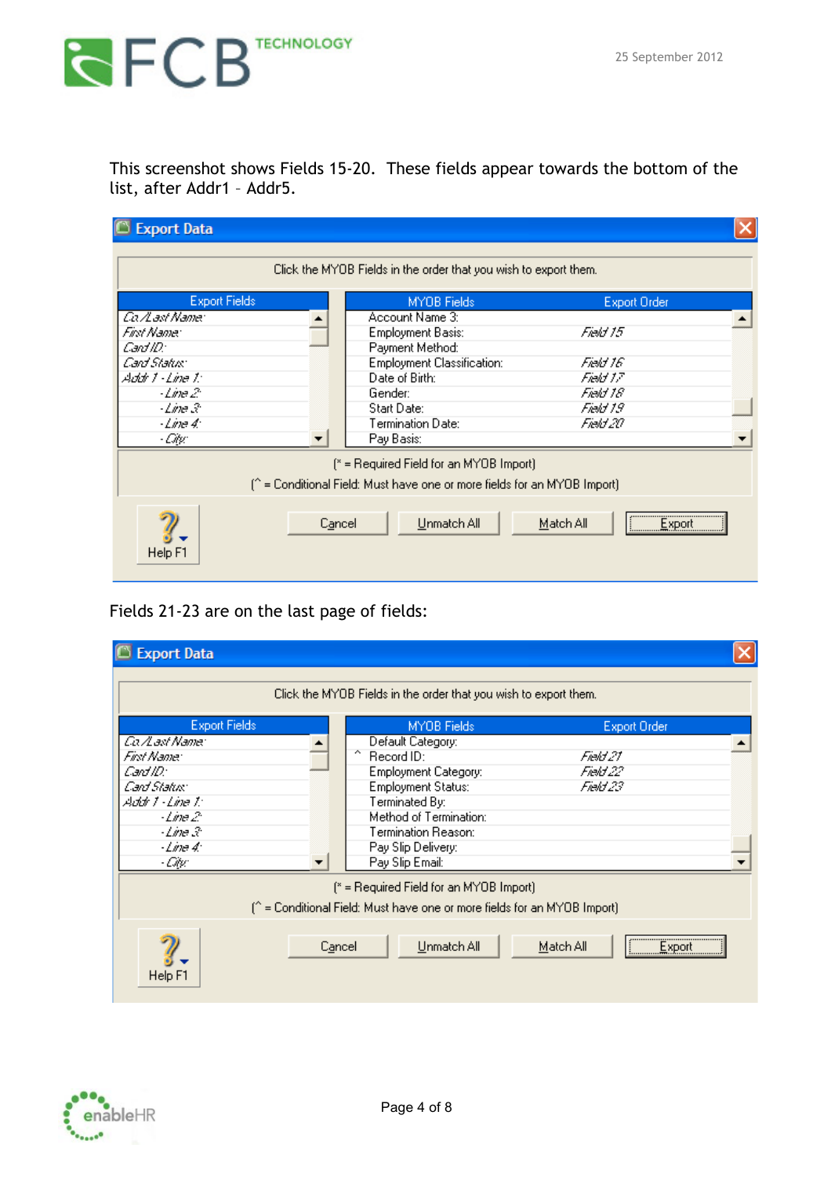# **RECES** TECHNOLOGY

This screenshot shows Fields 15-20. These fields appear towards the bottom of the list, after Addr1 – Addr5.

| <b>Export Data</b>                                                                                                                                |        |                                                                                                                                                                             |                                                                      |  |
|---------------------------------------------------------------------------------------------------------------------------------------------------|--------|-----------------------------------------------------------------------------------------------------------------------------------------------------------------------------|----------------------------------------------------------------------|--|
|                                                                                                                                                   |        | Click the MYOB Fields in the order that you wish to export them.                                                                                                            |                                                                      |  |
| <b>Export Fields</b>                                                                                                                              |        | MYOB Fields                                                                                                                                                                 | <b>Export Order</b>                                                  |  |
| <i>Ca∄ast Name</i> r<br>Fint Name:<br>Card ID:<br>Card Status:<br>Addr 1 - Line 1:<br>- <i>Line 2</i> :<br>-Line 3<br>- <i>Line 4:</i><br>- Citu: |        | Account Name 3:<br>Employment Basis:<br>Payment Method:<br><b>Employment Classification:</b><br>Date of Birth:<br>Gender:<br>Start Date:<br>Termination Date:<br>Pay Basis: | Field 15<br>Field 16<br>Field 17<br>Field 18<br>Field 19<br>Field 20 |  |
|                                                                                                                                                   |        | (* = Required Field for an MYOB Import)<br>(^ = Conditional Field: Must have one or more fields for an MYOB Import)                                                         |                                                                      |  |
| Help F1                                                                                                                                           | Cancel | Unmatch All                                                                                                                                                                 | Export<br>Match All                                                  |  |

### Fields 21-23 are on the last page of fields:

| <b>Export Data</b>   |        |                                                                                                                     |                         |  |
|----------------------|--------|---------------------------------------------------------------------------------------------------------------------|-------------------------|--|
|                      |        | Click the MYOB Fields in the order that you wish to export them.                                                    |                         |  |
| <b>Export Fields</b> |        | MYOB Fields                                                                                                         | <b>Export Order</b>     |  |
| Ca⊿ast Name:         |        | Default Category:                                                                                                   |                         |  |
| Fint Name:           |        | $\sim$<br>Record ID:                                                                                                | Field 21.               |  |
| Cant ID:             |        | <b>Employment Category:</b>                                                                                         | Field 22                |  |
| Card Status:         |        | <b>Employment Status:</b>                                                                                           | Field 23                |  |
| Addr 1 - Line 1:     |        | Terminated By:                                                                                                      |                         |  |
| - <i>Line 2</i> :    |        | Method of Termination:                                                                                              |                         |  |
| $-Line \mathcal{X}$  |        | Termination Reason:                                                                                                 |                         |  |
| $-Line 4$            |        | Pay Slip Delivery:                                                                                                  |                         |  |
| - Citu:              |        | Pay Slip Email:                                                                                                     |                         |  |
|                      |        | [* = Required Field for an MYOB Import]<br>(^ = Conditional Field: Must have one or more fields for an MYOB Import) |                         |  |
| Help F1              | Cancel | Unmatch All                                                                                                         | <br>Match All<br>Export |  |

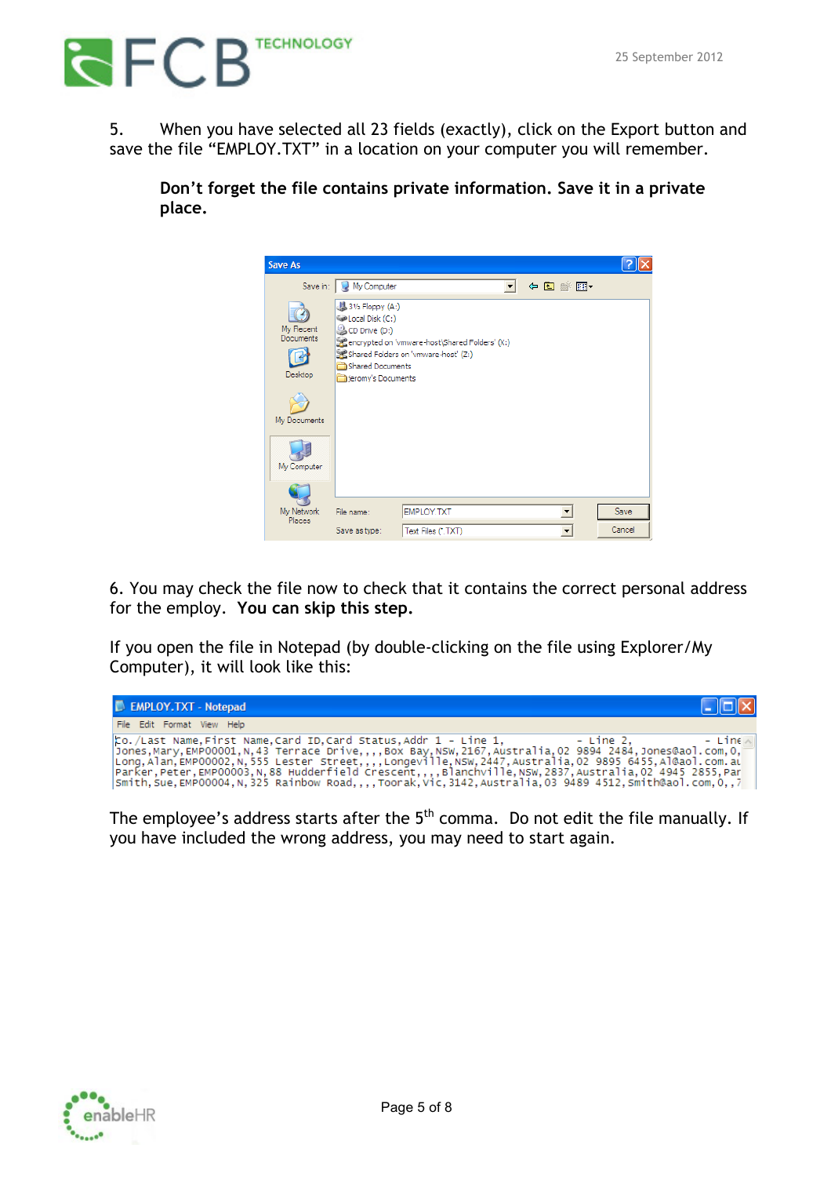

5. When you have selected all 23 fields (exactly), click on the Export button and save the file "EMPLOY.TXT" in a location on your computer you will remember.

**Don't forget the file contains private information. Save it in a private place.**



6. You may check the file now to check that it contains the correct personal address for the employ. **You can skip this step.**

If you open the file in Notepad (by double-clicking on the file using Explorer/My Computer), it will look like this:

| EMPLOY.TXT - Notepad                                                                                                                                                                                                                                                                                                                                                                                                                                                                                                                     | $\Box$ o $\boxtimes$ |
|------------------------------------------------------------------------------------------------------------------------------------------------------------------------------------------------------------------------------------------------------------------------------------------------------------------------------------------------------------------------------------------------------------------------------------------------------------------------------------------------------------------------------------------|----------------------|
| File Edit Format View Help                                                                                                                                                                                                                                                                                                                                                                                                                                                                                                               |                      |
| $\vert$ to./Last Name.First Name.Card ID.Card Status.Addr 1 - Line 1.<br>– Line 2.<br>[Jones, Mary, EMP00001, N, 43 Terrace Drive,,,, Box Bay, NSW, 2167, Australia, 02 9894 2484, Jones@aol.com.0.<br>Long, Alan, EMP00002, N, 555 Lester Street,,,,Longeville,NSW, 2447, Australia, 02 9895 6455, Al@aol.com.al<br> Parker,Peter,EMP00003,N.88 Hudderfield CrescentBlanchville.NSW.2837.Australia.02 4945 2855.Par<br>Smith, Sue, EMP00004, N, 325 Rainbow Road, , , Toorak, Vic, 3142, Australia, 03 9489 4512, Smith@aol.com, 0, , 7 | $-$ Line             |

The employee's address starts after the  $5<sup>th</sup>$  comma. Do not edit the file manually. If you have included the wrong address, you may need to start again.

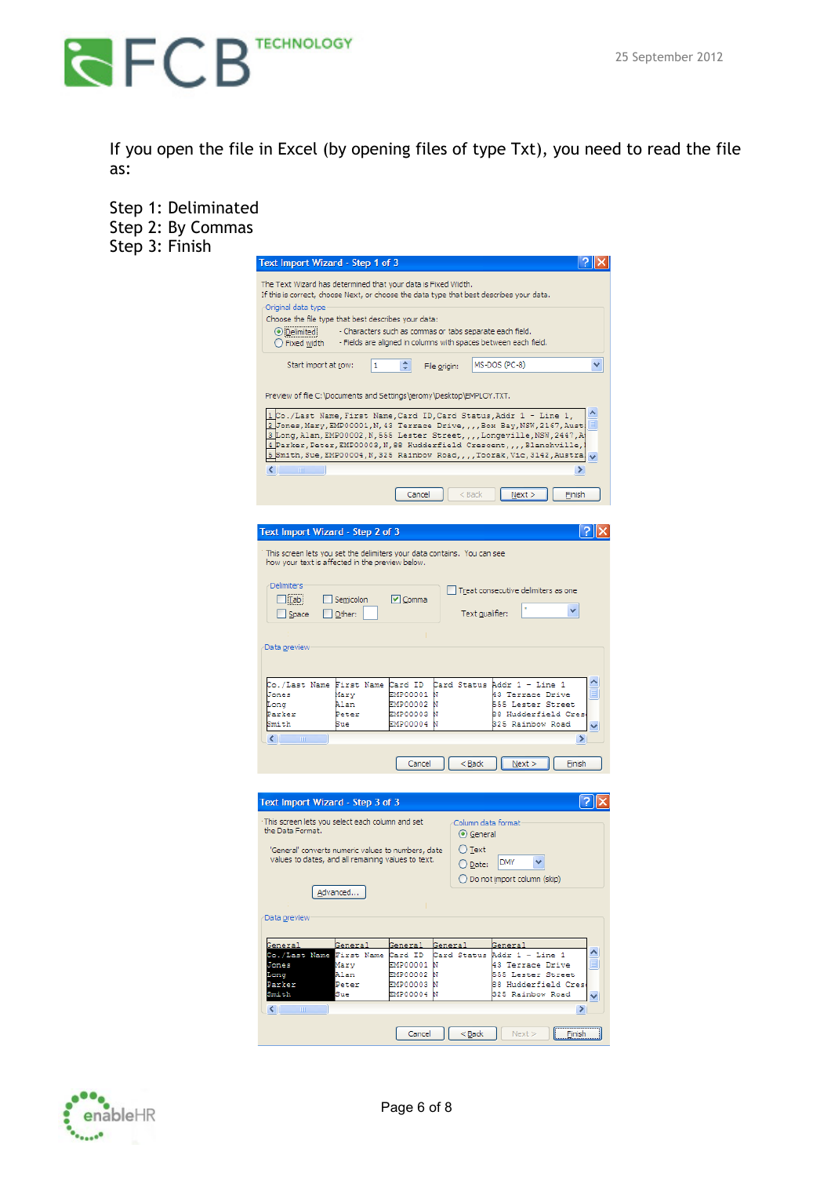

If you open the file in Excel (by opening files of type Txt), you need to read the file as:

| Step 1: Deliminated<br>Step 2: By Commas |                                                                                                                                                                                                                                                                                                                                                                                                                         |     |
|------------------------------------------|-------------------------------------------------------------------------------------------------------------------------------------------------------------------------------------------------------------------------------------------------------------------------------------------------------------------------------------------------------------------------------------------------------------------------|-----|
| Step 3: Finish                           | Text Import Wizard - Step 1 of 3                                                                                                                                                                                                                                                                                                                                                                                        | ?∥× |
|                                          | The Text Wizard has determined that your data is Fixed Width.<br>If this is correct, choose Next, or choose the data type that best describes your data.<br>Original data type<br>Choose the file type that best describes your data:<br>- Characters such as commas or tabs separate each field.<br><b>O</b> Delimited<br>- Fields are aligned in columns with spaces between each field.<br>$\bigcirc$ Fixed width    |     |
|                                          | MS-DOS (PC-8)<br>≎<br>Start import at row:<br>File origin:                                                                                                                                                                                                                                                                                                                                                              | ٧   |
|                                          | Preview of file C:\Documents and Settings\jeromy\Desktop\EMPLOY.TXT.                                                                                                                                                                                                                                                                                                                                                    |     |
|                                          | Co./Last Name, First Name, Card ID, Card Status, Addr 1 - Line 1,<br>2 Jones, Mary, EMP00001, N, 43 Terrace Drive, , , , Box Bay, NSW, 2167, Aust:<br>3 Long, Alan, EMP00002, N, 555 Lester Street, , , , Longeville, NSW, 2447, A<br>4 Parker, Peter, EMP00003, N, 88 Hudderfield Crescent, , , , Blanchville,<br>Smith, Sue, EMP00004, N, 325 Rainbow Road, , , , Toorak, Vic, 3142, Austra!<br>≻<br>≺<br><b>TITT</b> |     |
|                                          | Cancel<br>$<$ Back<br>Next<br>Einish                                                                                                                                                                                                                                                                                                                                                                                    |     |
|                                          | Text Import Wizard - Step 2 of 3<br>7                                                                                                                                                                                                                                                                                                                                                                                   |     |
|                                          | This screen lets you set the delimiters your data contains. You can see<br>how your text is affected in the preview below.                                                                                                                                                                                                                                                                                              |     |
|                                          | <b>Delimiters</b><br>Treat consecutive delimiters as one<br>$\Box$ Tab<br>Semicolon<br>$\triangledown$ Comma<br>Text gualifier:<br>$\Box$ Space<br>$\Box$ Other:                                                                                                                                                                                                                                                        |     |
|                                          | Data preview                                                                                                                                                                                                                                                                                                                                                                                                            |     |
|                                          | Co./Last Name First Name Card ID<br>Card Status Addr 1 - Line 1<br>Jones<br>Mary<br>EMP00001<br>43 Terrace Drive<br>N<br>EMP00002 N<br>555 Lester Street<br>Long<br>Alan<br>EMP00003<br>Parker<br>Peter<br>88 Hudderfield Cres<br>EMP00004<br>Smith<br>Sue<br>325 Rainbow Road                                                                                                                                          |     |
|                                          | $\;$ 1111 $\;$<br>≯<br>≺∣<br>Cancel<br>$<$ Back<br>Next<br>Einish                                                                                                                                                                                                                                                                                                                                                       |     |
|                                          |                                                                                                                                                                                                                                                                                                                                                                                                                         |     |
|                                          | Text Import Wizard - Step 3 of 3<br>This screen lets you select each column and set<br>Column data format<br>the Data Format.<br>⊙ General                                                                                                                                                                                                                                                                              |     |
|                                          | $\bigcirc$ Text<br>'General' converts numeric values to numbers, date<br>values to dates, and all remaining values to text.<br>v<br><b>DMY</b><br>$\bigcirc$ Date:<br>◯ Do not import column (skip)                                                                                                                                                                                                                     |     |
|                                          | Advanced<br>Data preview                                                                                                                                                                                                                                                                                                                                                                                                |     |
|                                          | General<br>General<br>General<br>General<br>Genera<br>Co./Last Name<br>First Name<br>Card ID<br>Card Status Addr 1 - Line 1                                                                                                                                                                                                                                                                                             |     |
|                                          | Jones<br>Mary<br>EMP00001<br>Ν<br>43 Terrace Drive<br>EMP00002<br>Alan<br>555 Lester Street<br>Long<br>Ν<br>Parker<br>Peter<br>EMP00003<br>Ν<br>88 Hudderfield Cres<br>EMP00004<br>Smith<br>Sue<br>ъ<br>325 Rainbow Road                                                                                                                                                                                                |     |
|                                          | $\left\vert \left\langle \cdot\right\vert \right\vert =\left\vert \cdot\right\vert$<br>⊁<br>$Back$<br>Next<br>Cancel<br>Einish                                                                                                                                                                                                                                                                                          |     |

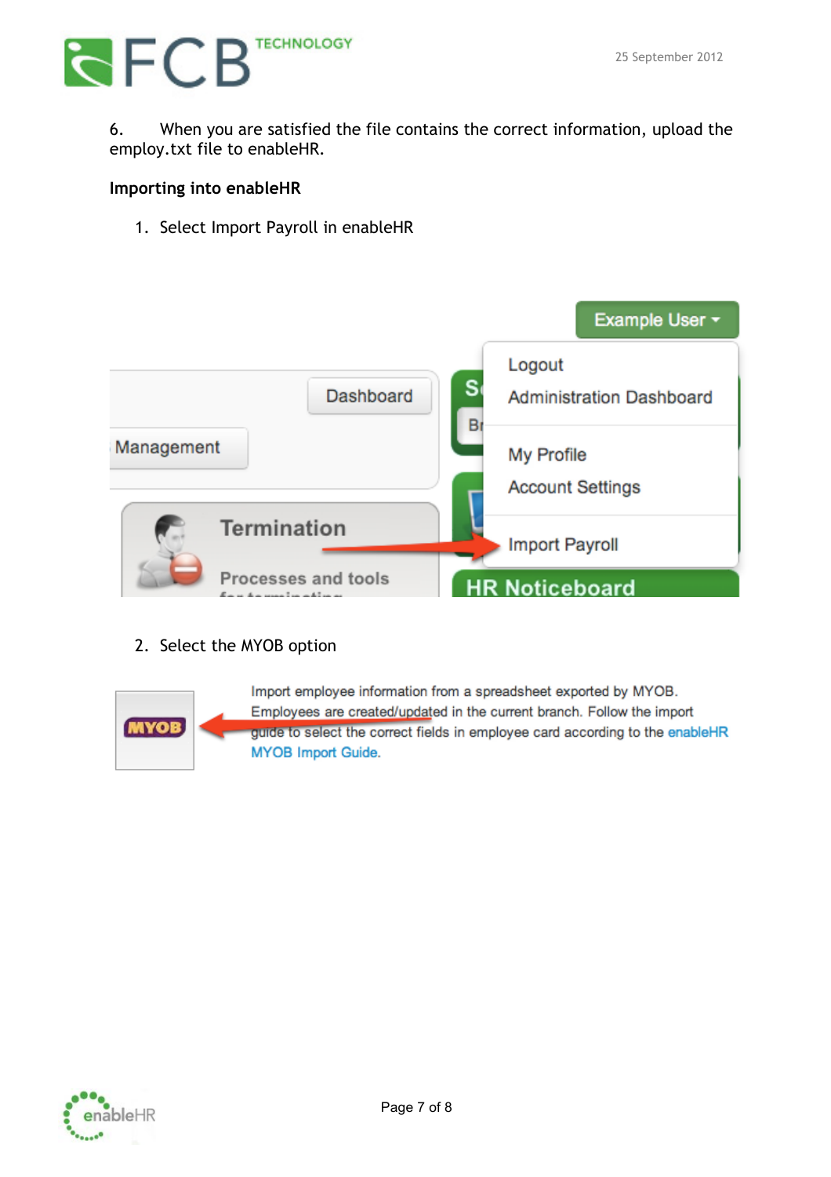## **RECE** TECHNOLOGY

6. When you are satisfied the file contains the correct information, upload the employ.txt file to enableHR.

#### **Importing into enableHR**

1. Select Import Payroll in enableHR



### 2. Select the MYOB option



Import employee information from a spreadsheet exported by MYOB. Employees are created/updated in the current branch. Follow the import guide to select the correct fields in employee card according to the enableHR **MYOB Import Guide.**